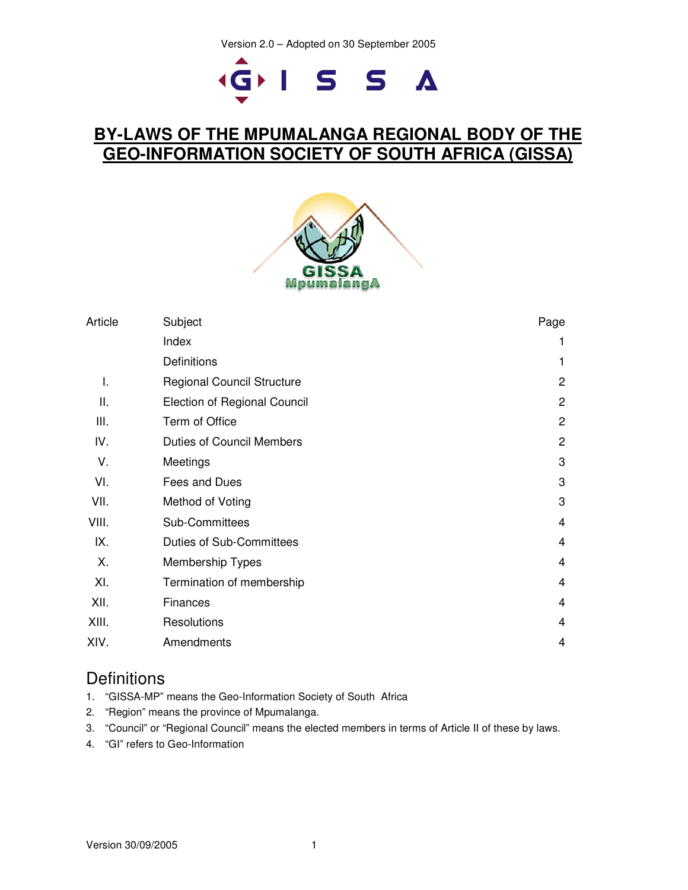# GISSA

# **BY-LAWS OF THE MPUMALANGA REGIONAL BODY OF THE GEO-INFORMATION SOCIETY OF SOUTH AFRICA (GISSA)**



| Article | Subject                             | Page           |
|---------|-------------------------------------|----------------|
|         | Index                               | 1              |
|         | Definitions                         | 1              |
| I.      | <b>Regional Council Structure</b>   | $\overline{2}$ |
| ΙΙ.     | <b>Election of Regional Council</b> | 2              |
| III.    | Term of Office                      | $\mathbf{2}$   |
| IV.     | <b>Duties of Council Members</b>    | $\mathbf{2}$   |
| V.      | Meetings                            | 3              |
| VI.     | Fees and Dues                       | 3              |
| VII.    | Method of Voting                    | 3              |
| VIII.   | Sub-Committees                      | $\overline{4}$ |
| IX.     | <b>Duties of Sub-Committees</b>     | 4              |
| Х.      | Membership Types                    | 4              |
| XI.     | Termination of membership           | 4              |
| XII.    | <b>Finances</b>                     | $\overline{4}$ |
| XIII.   | Resolutions                         | 4              |
| XIV.    | Amendments                          | 4              |

# **Definitions**

- 1. "GISSA-MP" means the Geo-Information Society of South Africa
- 2. "Region" means the province of Mpumalanga.
- 3. "Council" or "Regional Council" means the elected members in terms of Article II of these by laws.
- 4. "GI" refers to Geo-Information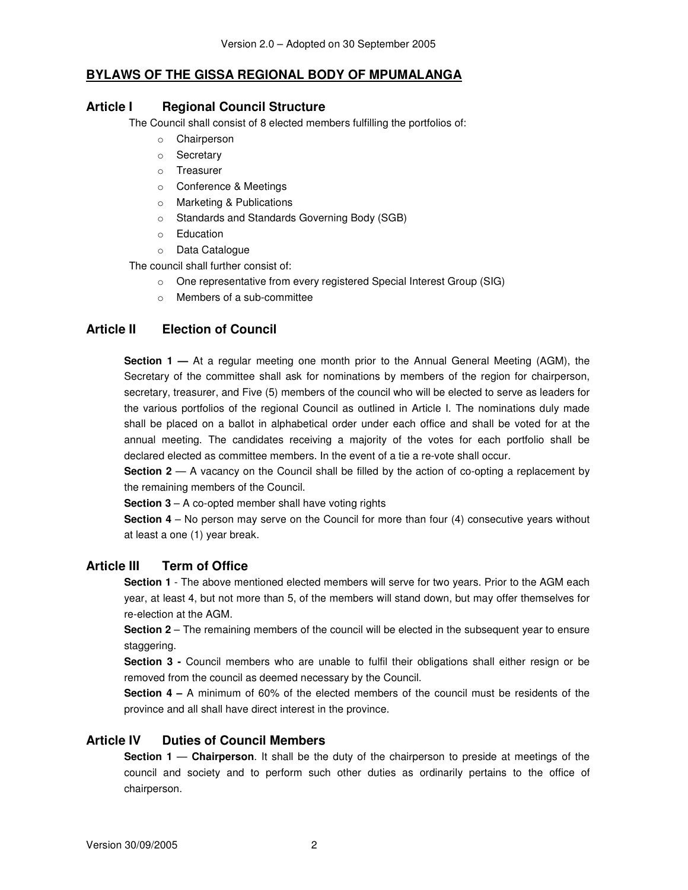#### **BYLAWS OF THE GISSA REGIONAL BODY OF MPUMALANGA**

#### **Article I Regional Council Structure**

The Council shall consist of 8 elected members fulfilling the portfolios of:

- o Chairperson
- o Secretary
- o Treasurer
- o Conference & Meetings
- o Marketing & Publications
- o Standards and Standards Governing Body (SGB)
- o Education
- o Data Catalogue

The council shall further consist of:

- o One representative from every registered Special Interest Group (SIG)
- o Members of a sub-committee

#### **Article II Election of Council**

**Section 1 —** At a regular meeting one month prior to the Annual General Meeting (AGM), the Secretary of the committee shall ask for nominations by members of the region for chairperson, secretary, treasurer, and Five (5) members of the council who will be elected to serve as leaders for the various portfolios of the regional Council as outlined in Article I. The nominations duly made shall be placed on a ballot in alphabetical order under each office and shall be voted for at the annual meeting. The candidates receiving a majority of the votes for each portfolio shall be declared elected as committee members. In the event of a tie a re-vote shall occur.

**Section 2** — A vacancy on the Council shall be filled by the action of co-opting a replacement by the remaining members of the Council.

**Section 3** – A co-opted member shall have voting rights

**Section 4** – No person may serve on the Council for more than four (4) consecutive years without at least a one (1) year break.

#### **Article III Term of Office**

**Section 1** - The above mentioned elected members will serve for two years. Prior to the AGM each year, at least 4, but not more than 5, of the members will stand down, but may offer themselves for re-election at the AGM.

**Section 2** – The remaining members of the council will be elected in the subsequent year to ensure staggering.

**Section 3 -** Council members who are unable to fulfil their obligations shall either resign or be removed from the council as deemed necessary by the Council.

**Section 4 –** A minimum of 60% of the elected members of the council must be residents of the province and all shall have direct interest in the province.

#### **Article IV Duties of Council Members**

**Section 1** — **Chairperson**. It shall be the duty of the chairperson to preside at meetings of the council and society and to perform such other duties as ordinarily pertains to the office of chairperson.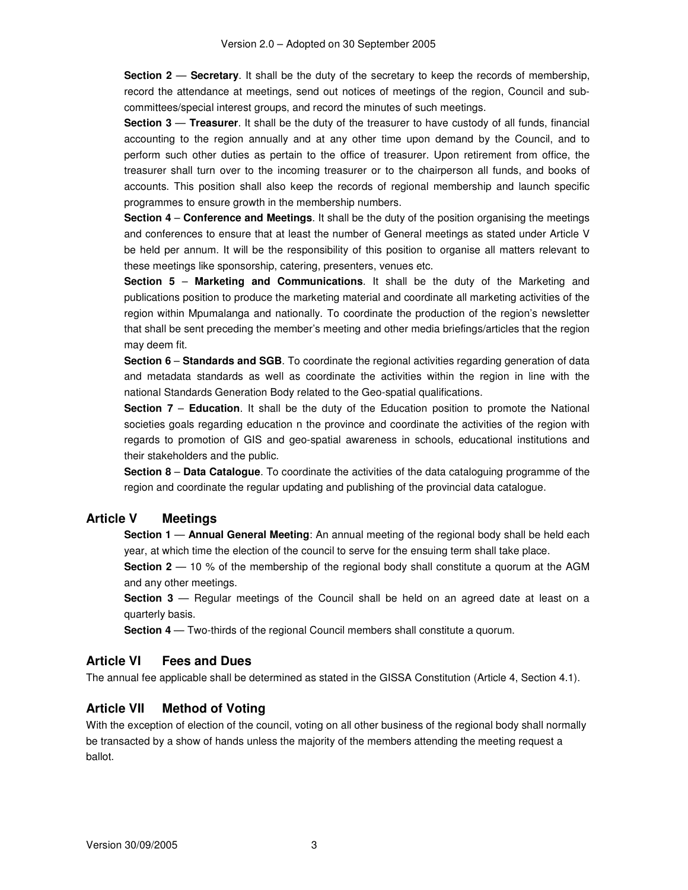**Section 2** — **Secretary**. It shall be the duty of the secretary to keep the records of membership, record the attendance at meetings, send out notices of meetings of the region, Council and subcommittees/special interest groups, and record the minutes of such meetings.

**Section 3** — **Treasurer**. It shall be the duty of the treasurer to have custody of all funds, financial accounting to the region annually and at any other time upon demand by the Council, and to perform such other duties as pertain to the office of treasurer. Upon retirement from office, the treasurer shall turn over to the incoming treasurer or to the chairperson all funds, and books of accounts. This position shall also keep the records of regional membership and launch specific programmes to ensure growth in the membership numbers.

**Section 4** – **Conference and Meetings**. It shall be the duty of the position organising the meetings and conferences to ensure that at least the number of General meetings as stated under Article V be held per annum. It will be the responsibility of this position to organise all matters relevant to these meetings like sponsorship, catering, presenters, venues etc.

**Section 5** – **Marketing and Communications**. It shall be the duty of the Marketing and publications position to produce the marketing material and coordinate all marketing activities of the region within Mpumalanga and nationally. To coordinate the production of the region's newsletter that shall be sent preceding the member's meeting and other media briefings/articles that the region may deem fit.

**Section 6** – **Standards and SGB**. To coordinate the regional activities regarding generation of data and metadata standards as well as coordinate the activities within the region in line with the national Standards Generation Body related to the Geo-spatial qualifications.

**Section 7** – **Education**. It shall be the duty of the Education position to promote the National societies goals regarding education n the province and coordinate the activities of the region with regards to promotion of GIS and geo-spatial awareness in schools, educational institutions and their stakeholders and the public.

**Section 8** – **Data Catalogue**. To coordinate the activities of the data cataloguing programme of the region and coordinate the regular updating and publishing of the provincial data catalogue.

#### **Article V Meetings**

**Section 1** — **Annual General Meeting**: An annual meeting of the regional body shall be held each year, at which time the election of the council to serve for the ensuing term shall take place.

**Section 2** — 10 % of the membership of the regional body shall constitute a quorum at the AGM and any other meetings.

**Section 3** — Regular meetings of the Council shall be held on an agreed date at least on a quarterly basis.

**Section 4** — Two-thirds of the regional Council members shall constitute a quorum.

#### **Article VI Fees and Dues**

The annual fee applicable shall be determined as stated in the GISSA Constitution (Article 4, Section 4.1).

#### **Article VII Method of Voting**

With the exception of election of the council, voting on all other business of the regional body shall normally be transacted by a show of hands unless the majority of the members attending the meeting request a ballot.